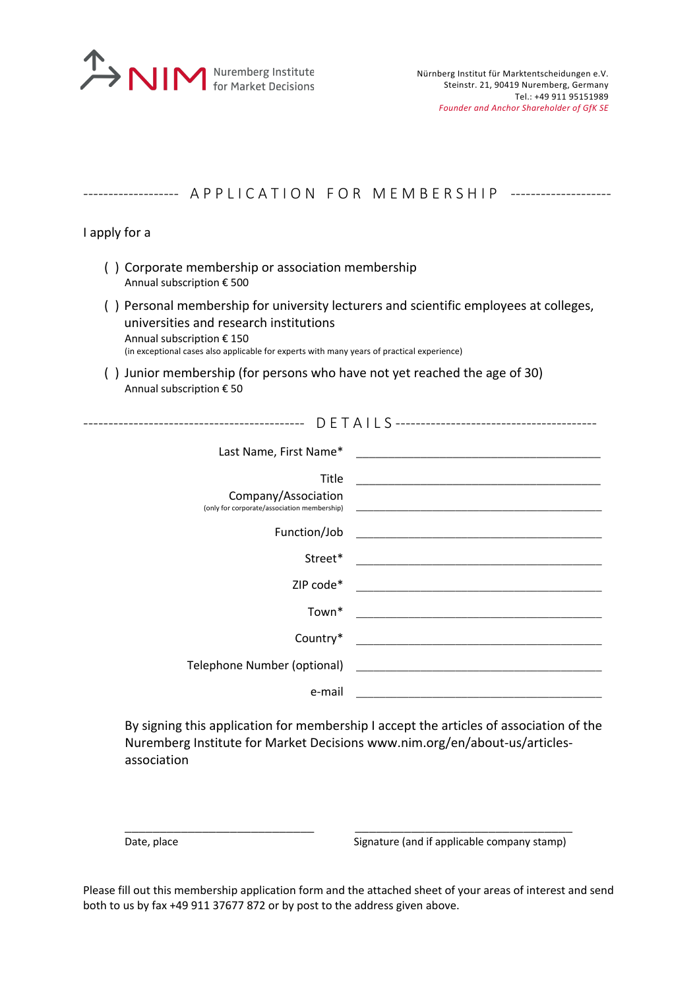

| ---------------- APPLICATION FOR MEMBERSHIP -----------------                                                                                                                                                                                              |                                                                                                                      |
|------------------------------------------------------------------------------------------------------------------------------------------------------------------------------------------------------------------------------------------------------------|----------------------------------------------------------------------------------------------------------------------|
| I apply for a                                                                                                                                                                                                                                              |                                                                                                                      |
| () Corporate membership or association membership<br>Annual subscription € 500                                                                                                                                                                             |                                                                                                                      |
| () Personal membership for university lecturers and scientific employees at colleges,<br>universities and research institutions<br>Annual subscription € 150<br>(in exceptional cases also applicable for experts with many years of practical experience) |                                                                                                                      |
| () Junior membership (for persons who have not yet reached the age of 30)<br>Annual subscription € 50                                                                                                                                                      |                                                                                                                      |
|                                                                                                                                                                                                                                                            |                                                                                                                      |
|                                                                                                                                                                                                                                                            |                                                                                                                      |
| Title<br>Company/Association<br>(only for corporate/association membership)                                                                                                                                                                                | <u> 1989 - Johann John Stone, markin film yn y brenin y brenin y brenin y brenin y brenin y brenin y brenin y br</u> |
| Function/Job                                                                                                                                                                                                                                               |                                                                                                                      |
| Street*                                                                                                                                                                                                                                                    |                                                                                                                      |
| ZIP code*                                                                                                                                                                                                                                                  |                                                                                                                      |
| Town*                                                                                                                                                                                                                                                      |                                                                                                                      |
| Country*                                                                                                                                                                                                                                                   |                                                                                                                      |
| Telephone Number (optional)                                                                                                                                                                                                                                |                                                                                                                      |
| e-mail                                                                                                                                                                                                                                                     |                                                                                                                      |

By signing this application for membership I accept the articles of association of the Nuremberg Institute for Market Decisions www.nim.org/en/about-us/articlesassociation

Date, place Signature (and if applicable company stamp)

Please fill out this membership application form and the attached sheet of your areas of interest and send both to us by fax +49 911 37677 872 or by post to the address given above.

\_\_\_\_\_\_\_\_\_\_\_\_\_\_\_\_\_\_\_\_\_\_\_\_\_\_\_ \_\_\_\_\_\_\_\_\_\_\_\_\_\_\_\_\_\_\_\_\_\_\_\_\_\_\_\_\_\_\_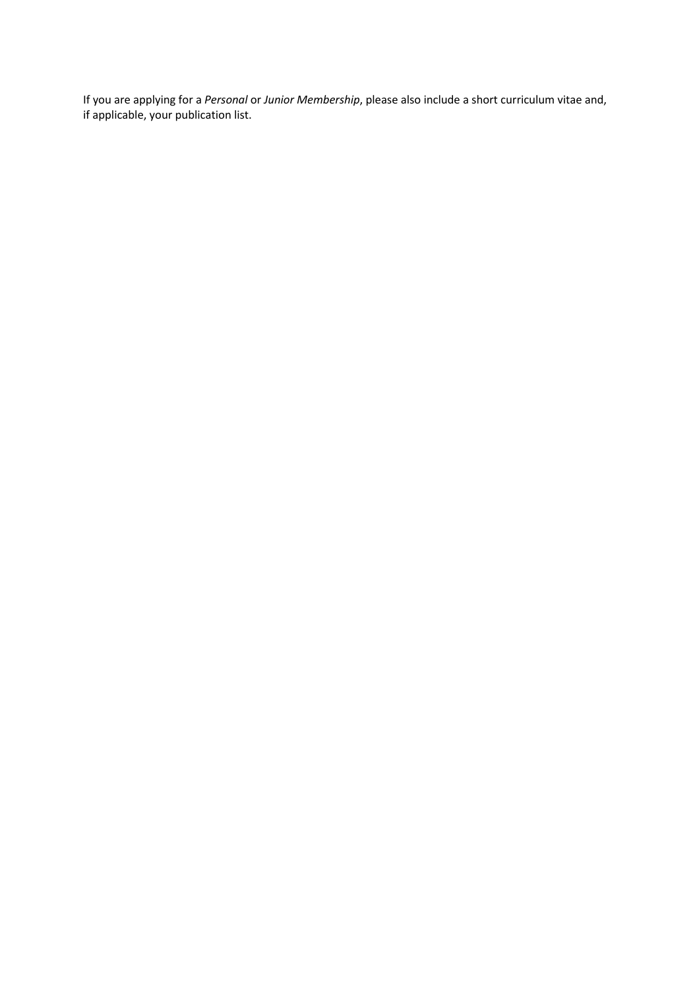If you are applying for a *Personal* or *Junior Membership*, please also include a short curriculum vitae and, if applicable, your publication list.